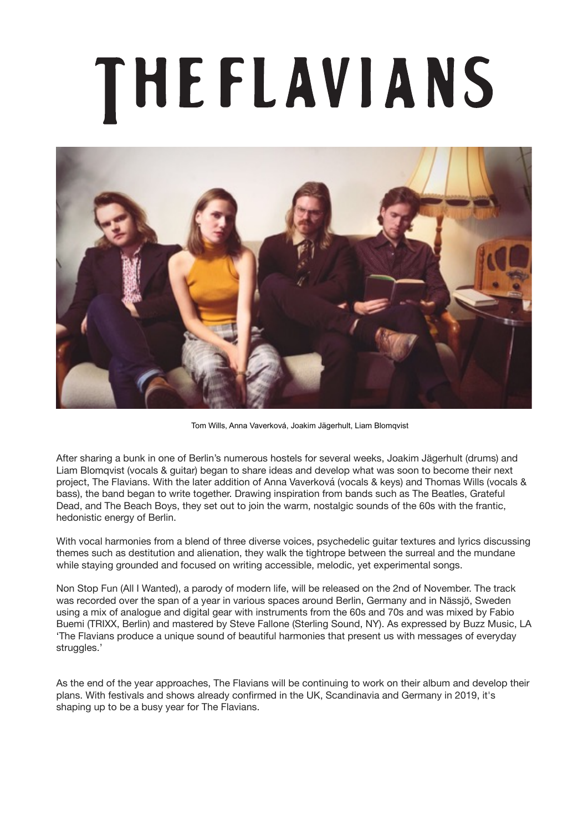## THEFLAVIANS



Tom Wills, Anna Vaverková, Joakim Jägerhult, Liam Blomqvist

After sharing a bunk in one of Berlin's numerous hostels for several weeks, Joakim Jägerhult (drums) and Liam Blomqvist (vocals & guitar) began to share ideas and develop what was soon to become their next project, The Flavians. With the later addition of Anna Vaverková (vocals & keys) and Thomas Wills (vocals & bass), the band began to write together. Drawing inspiration from bands such as The Beatles, Grateful Dead, and The Beach Boys, they set out to join the warm, nostalgic sounds of the 60s with the frantic, hedonistic energy of Berlin.

With vocal harmonies from a blend of three diverse voices, psychedelic guitar textures and lyrics discussing themes such as destitution and alienation, they walk the tightrope between the surreal and the mundane while staying grounded and focused on writing accessible, melodic, yet experimental songs.

Non Stop Fun (All I Wanted), a parody of modern life, will be released on the 2nd of November. The track was recorded over the span of a year in various spaces around Berlin, Germany and in Nässjö, Sweden using a mix of analogue and digital gear with instruments from the 60s and 70s and was mixed by Fabio Buemi (TRIXX, Berlin) and mastered by Steve Fallone (Sterling Sound, NY). As expressed by Buzz Music, LA 'The Flavians produce a unique sound of beautiful harmonies that present us with messages of everyday struggles.'

As the end of the year approaches, The Flavians will be continuing to work on their album and develop their plans. With festivals and shows already confirmed in the UK, Scandinavia and Germany in 2019, it's shaping up to be a busy year for The Flavians.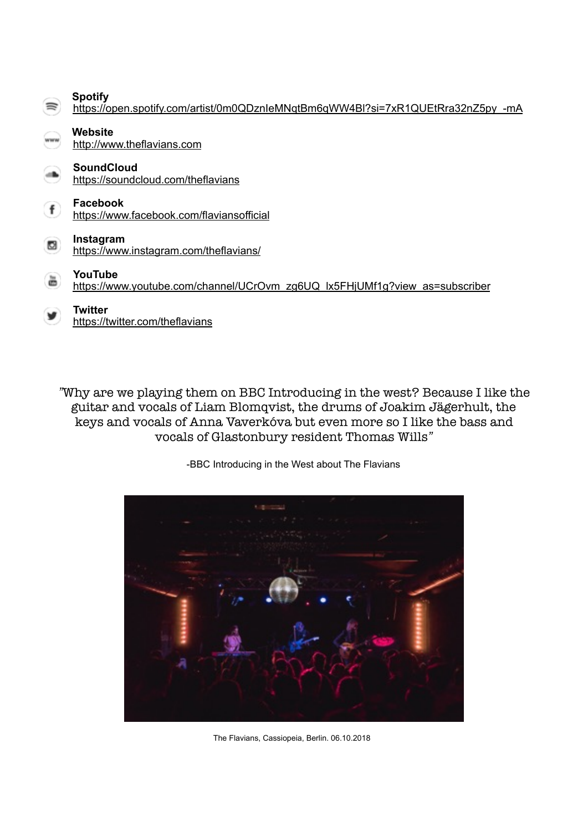| Spotitv |  |
|---------|--|
|---------|--|

[https://open.spotify.com/artist/0m0QDznIeMNqtBm6qWW4Bl?si=7xR1QUEtRra32nZ5py\\_-mA](https://open.spotify.com/artist/0m0QDznIeMNqtBm6qWW4Bl?si=7xR1QUEtRra32nZ5py_-mA)

- **Website** <http://www.theflavians.com>
- **SoundCloud** <https://soundcloud.com/theflavians>
- **Facebook**   $\left( f\right)$ <https://www.facebook.com/flaviansofficial>
- **Instagram**  $\blacksquare$ <https://www.instagram.com/theflavians/>
	- **YouTube** [https://www.youtube.com/channel/UCrOvm\\_zg6UQ\\_lx5FHjUMf1g?view\\_as=subscriber](https://www.youtube.com/channel/UCrOvm_zg6UQ_lx5FHjUMf1g?view_as=subscriber)

**Twitter** <https://twitter.com/theflavians>

*"*Why are we playing them on BBC Introducing in the west? Because I like the guitar and vocals of Liam Blomqvist, the drums of Joakim Jägerhult, the keys and vocals of Anna Vaverkóva but even more so I like the bass and vocals of Glastonbury resident Thomas Wills*"*

-BBC Introducing in the West about The Flavians



The Flavians, Cassiopeia, Berlin. 06.10.2018